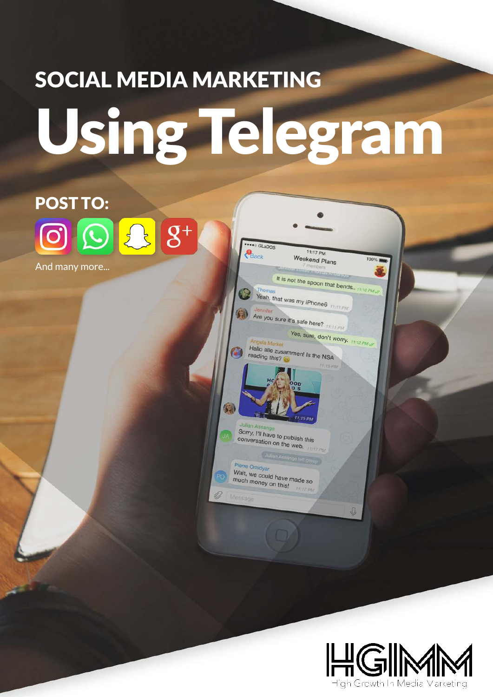# SOCIAL MEDIA MARKETING Using Telegram

**ONE GLADOS** 

Thomas

Oles Ara

reading this?

Sorry, I'll have to publish this<br>conversation on the conversation on the web.

Wait, we could have made so<br>much money on this much money on this!

 $111110$ 

 $\overline{0}$ 

Pierre Omidyar

 $P_{\text{Back}}$ 

 $\langle \cdot \rangle$ 

传

Ò

11:17 PM

100%

Weekend Plans

It is not the spoon that bends.

Yes, sure, don't worry. 11:12 PM

Yeah, that was my iPhone6<br>Jennifer

Are you sure it's safe here? 11:11 PM

Hallo alle zusammen! Is the NSA

## POST TO:  $\left| \mathbf{S} \right| \mathbf{S}^+$  $|O|$

And many more...

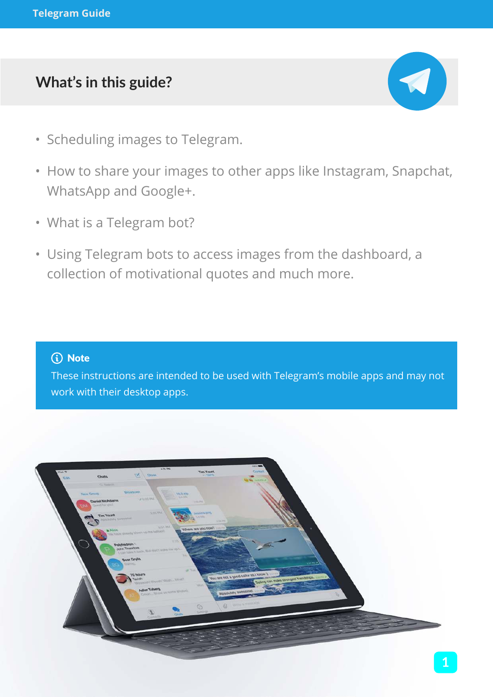## **What's in this guide?**



- Scheduling images to Telegram.
- How to share your images to other apps like Instagram, Snapchat, WhatsApp and Google+.
- What is a Telegram bot?
- Using Telegram bots to access images from the dashboard, a collection of motivational quotes and much more.

#### (i) Note

These instructions are intended to be used with Telegram's mobile apps and may not work with their desktop apps.

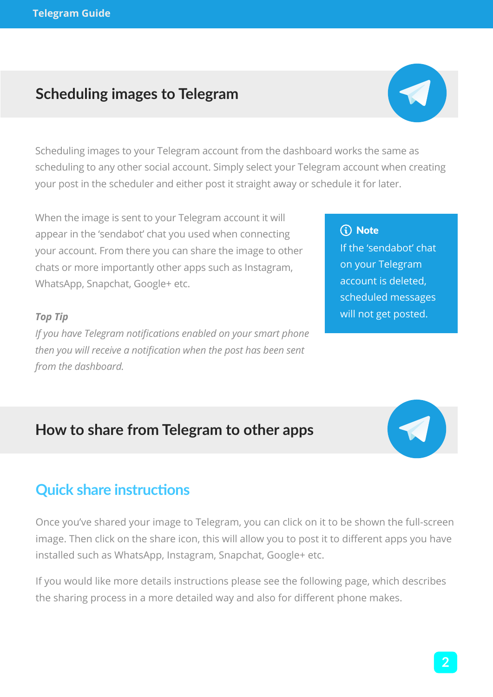## **Scheduling images to Telegram**



Scheduling images to your Telegram account from the dashboard works the same as scheduling to any other social account. Simply select your Telegram account when creating your post in the scheduler and either post it straight away or schedule it for later.

When the image is sent to your Telegram account it will appear in the 'sendabot' chat you used when connecting your account. From there you can share the image to other chats or more importantly other apps such as Instagram, WhatsApp, Snapchat, Google+ etc.

#### *Top Tip*

*If you have Telegram notifications enabled on your smart phone then you will receive a notification when the post has been sent from the dashboard.*

#### (i) Note

If the 'sendabot' chat on your Telegram account is deleted, scheduled messages will not get posted.

## **How to share from Telegram to other apps**



## **Quick share instructions**

Once you've shared your image to Telegram, you can click on it to be shown the full-screen image. Then click on the share icon, this will allow you to post it to different apps you have installed such as WhatsApp, Instagram, Snapchat, Google+ etc.

If you would like more details instructions please see the following page, which describes the sharing process in a more detailed way and also for different phone makes.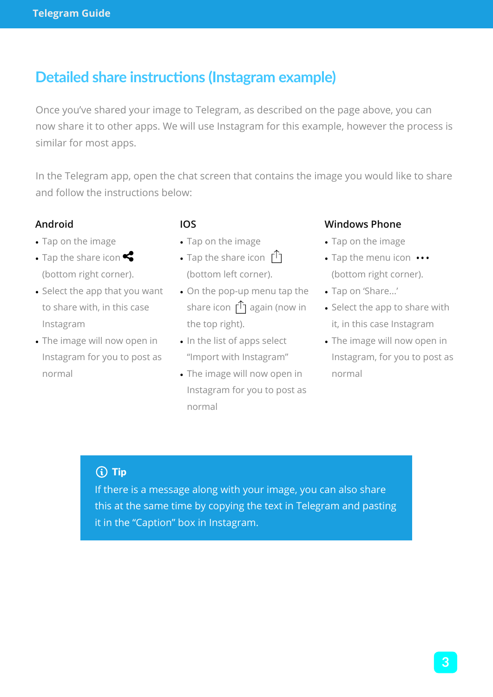## **Detailed share instructions (Instagram example)**

Once you've shared your image to Telegram, as described on the page above, you can now share it to other apps. We will use Instagram for this example, however the process is similar for most apps.

In the Telegram app, open the chat screen that contains the image you would like to share and follow the instructions below:

#### **Android**

- Tap on the image
- Tap the share icon (bottom right corner).
- Select the app that you want to share with, in this case Instagram
- The image will now open in Instagram for you to post as normal

#### **IOS**

- Tap on the image
- Tap the share icon  $\int^T$ (bottom left corner).
- On the pop-up menu tap the share icon  $\int_{1}^{\infty}$  again (now in the top right).
- In the list of apps select "Import with Instagram"
- The image will now open in Instagram for you to post as normal

#### **Windows Phone**

- Tap on the image
- Tap the menu icon ••• (bottom right corner).
- Tap on 'Share...'
- Select the app to share with it, in this case Instagram
- The image will now open in Instagram, for you to post as normal

## $(i)$  Tip

If there is a message along with your image, you can also share this at the same time by copying the text in Telegram and pasting it in the "Caption" box in Instagram.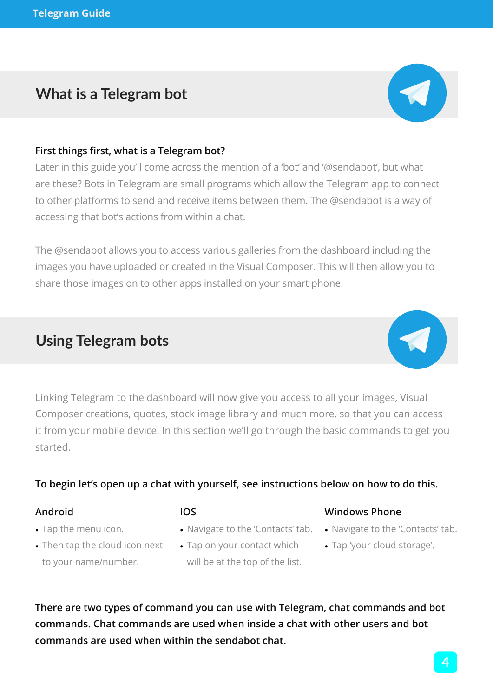## **What is a Telegram bot**

#### **First things first, what is a Telegram bot?**

Later in this guide you'll come across the mention of a 'bot' and '@sendabot', but what are these? Bots in Telegram are small programs which allow the Telegram app to connect to other platforms to send and receive items between them. The @sendabot is a way of accessing that bot's actions from within a chat.

The @sendabot allows you to access various galleries from the dashboard including the images you have uploaded or created in the Visual Composer. This will then allow you to share those images on to other apps installed on your smart phone.

## **Using Telegram bots**

Linking Telegram to the dashboard will now give you access to all your images, Visual Composer creations, quotes, stock image library and much more, so that you can access it from your mobile device. In this section we'll go through the basic commands to get you started.

#### **To begin let's open up a chat with yourself, see instructions below on how to do this.**

#### **Android**

- Tap the menu icon.
- Then tap the cloud icon next Tap on your contact which to your name/number.
- **IOS**
- Navigate to the 'Contacts' tab.
	- will be at the top of the list.

**There are two types of command you can use with Telegram, chat commands and bot commands. Chat commands are used when inside a chat with other users and bot commands are used when within the sendabot chat.**

**4**



- Navigate to the 'Contacts' tab.
- Tap 'your cloud storage'.